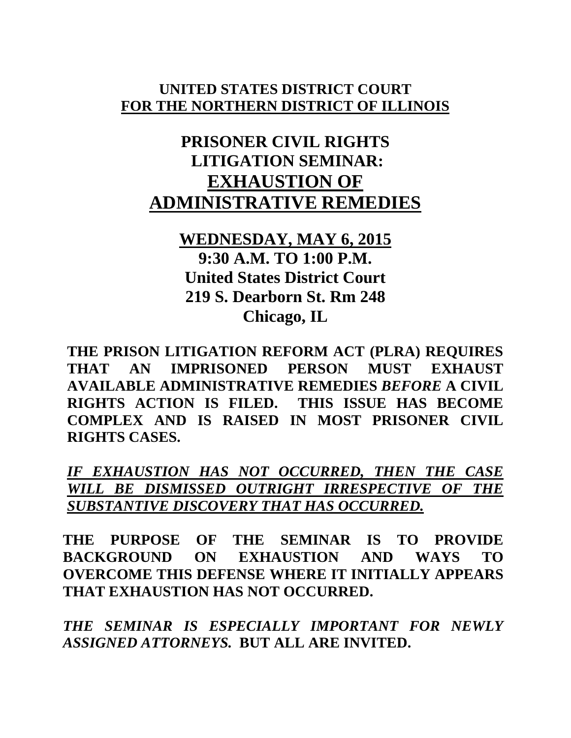#### **UNITED STATES DISTRICT COURT FOR THE NORTHERN DISTRICT OF ILLINOIS**

# **PRISONER CIVIL RIGHTS LITIGATION SEMINAR: EXHAUSTION OF ADMINISTRATIVE REMEDIES**

## **WEDNESDAY, MAY 6, 2015 9:30 A.M. TO 1:00 P.M. United States District Court 219 S. Dearborn St. Rm 248 Chicago, IL**

**THE PRISON LITIGATION REFORM ACT (PLRA) REQUIRES THAT AN IMPRISONED PERSON MUST EXHAUST AVAILABLE ADMINISTRATIVE REMEDIES** *BEFORE* **A CIVIL RIGHTS ACTION IS FILED. THIS ISSUE HAS BECOME COMPLEX AND IS RAISED IN MOST PRISONER CIVIL RIGHTS CASES.** 

*IF EXHAUSTION HAS NOT OCCURRED, THEN THE CASE WILL BE DISMISSED OUTRIGHT IRRESPECTIVE OF THE SUBSTANTIVE DISCOVERY THAT HAS OCCURRED.*

**THE PURPOSE OF THE SEMINAR IS TO PROVIDE BACKGROUND ON EXHAUSTION AND WAYS TO OVERCOME THIS DEFENSE WHERE IT INITIALLY APPEARS THAT EXHAUSTION HAS NOT OCCURRED.**

*THE SEMINAR IS ESPECIALLY IMPORTANT FOR NEWLY ASSIGNED ATTORNEYS.* **BUT ALL ARE INVITED.**